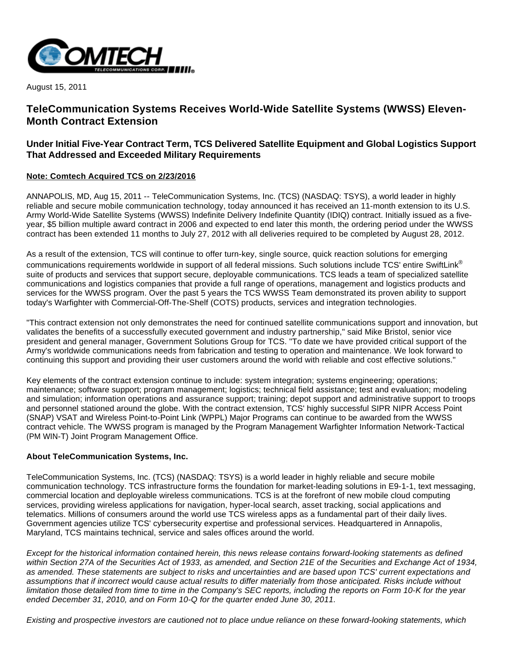

August 15, 2011

# **TeleCommunication Systems Receives World-Wide Satellite Systems (WWSS) Eleven-Month Contract Extension**

## **Under Initial Five-Year Contract Term, TCS Delivered Satellite Equipment and Global Logistics Support That Addressed and Exceeded Military Requirements**

### **Note: Comtech Acquired TCS on 2/23/2016**

ANNAPOLIS, MD, Aug 15, 2011 -- TeleCommunication Systems, Inc. (TCS) (NASDAQ: TSYS), a world leader in highly reliable and secure mobile communication technology, today announced it has received an 11-month extension to its U.S. Army World-Wide Satellite Systems (WWSS) Indefinite Delivery Indefinite Quantity (IDIQ) contract. Initially issued as a fiveyear, \$5 billion multiple award contract in 2006 and expected to end later this month, the ordering period under the WWSS contract has been extended 11 months to July 27, 2012 with all deliveries required to be completed by August 28, 2012.

As a result of the extension, TCS will continue to offer turn-key, single source, quick reaction solutions for emerging communications requirements worldwide in support of all federal missions. Such solutions include TCS' entire SwiftLink® suite of products and services that support secure, deployable communications. TCS leads a team of specialized satellite communications and logistics companies that provide a full range of operations, management and logistics products and services for the WWSS program. Over the past 5 years the TCS WWSS Team demonstrated its proven ability to support today's Warfighter with Commercial-Off-The-Shelf (COTS) products, services and integration technologies.

"This contract extension not only demonstrates the need for continued satellite communications support and innovation, but validates the benefits of a successfully executed government and industry partnership," said Mike Bristol, senior vice president and general manager, Government Solutions Group for TCS. "To date we have provided critical support of the Army's worldwide communications needs from fabrication and testing to operation and maintenance. We look forward to continuing this support and providing their user customers around the world with reliable and cost effective solutions."

Key elements of the contract extension continue to include: system integration; systems engineering; operations; maintenance; software support; program management; logistics; technical field assistance; test and evaluation; modeling and simulation; information operations and assurance support; training; depot support and administrative support to troops and personnel stationed around the globe. With the contract extension, TCS' highly successful SIPR NIPR Access Point (SNAP) VSAT and Wireless Point-to-Point Link (WPPL) Major Programs can continue to be awarded from the WWSS contract vehicle. The WWSS program is managed by the Program Management Warfighter Information Network-Tactical (PM WIN-T) Joint Program Management Office.

### **About TeleCommunication Systems, Inc.**

TeleCommunication Systems, Inc. (TCS) (NASDAQ: TSYS) is a world leader in highly reliable and secure mobile communication technology. TCS infrastructure forms the foundation for market-leading solutions in E9-1-1, text messaging, commercial location and deployable wireless communications. TCS is at the forefront of new mobile cloud computing services, providing wireless applications for navigation, hyper-local search, asset tracking, social applications and telematics. Millions of consumers around the world use TCS wireless apps as a fundamental part of their daily lives. Government agencies utilize TCS' cybersecurity expertise and professional services. Headquartered in Annapolis, Maryland, TCS maintains technical, service and sales offices around the world.

Except for the historical information contained herein, this news release contains forward-looking statements as defined within Section 27A of the Securities Act of 1933, as amended, and Section 21E of the Securities and Exchange Act of 1934, as amended. These statements are subject to risks and uncertainties and are based upon TCS' current expectations and assumptions that if incorrect would cause actual results to differ materially from those anticipated. Risks include without limitation those detailed from time to time in the Company's SEC reports, including the reports on Form 10-K for the year ended December 31, 2010, and on Form 10-Q for the quarter ended June 30, 2011.

Existing and prospective investors are cautioned not to place undue reliance on these forward-looking statements, which